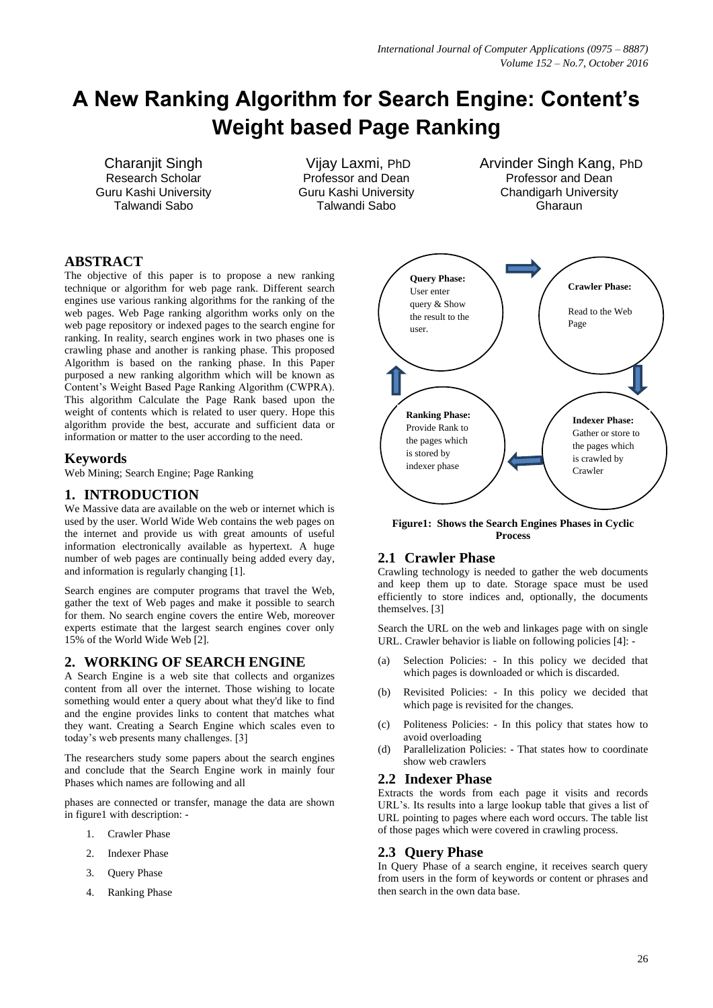# **A New Ranking Algorithm for Search Engine: Content's Weight based Page Ranking**

Charanjit Singh Research Scholar Guru Kashi University Talwandi Sabo

Vijay Laxmi, PhD Professor and Dean Guru Kashi University Talwandi Sabo

Arvinder Singh Kang, PhD Professor and Dean Chandigarh University Gharaun

# **ABSTRACT**

The objective of this paper is to propose a new ranking technique or algorithm for web page rank. Different search engines use various ranking algorithms for the ranking of the web pages. Web Page ranking algorithm works only on the web page repository or indexed pages to the search engine for ranking. In reality, search engines work in two phases one is crawling phase and another is ranking phase. This proposed Algorithm is based on the ranking phase. In this Paper purposed a new ranking algorithm which will be known as Content"s Weight Based Page Ranking Algorithm (CWPRA). This algorithm Calculate the Page Rank based upon the weight of contents which is related to user query. Hope this algorithm provide the best, accurate and sufficient data or information or matter to the user according to the need.

# **Keywords**

Web Mining; Search Engine; Page Ranking

# **1. INTRODUCTION**

We Massive data are available on the web or internet which is used by the user. World Wide Web contains the web pages on the internet and provide us with great amounts of useful information electronically available as hypertext. A huge number of web pages are continually being added every day, and information is regularly changing [1].

Search engines are computer programs that travel the Web, gather the text of Web pages and make it possible to search for them. No search engine covers the entire Web, moreover experts estimate that the largest search engines cover only 15% of the World Wide Web [2].

# **2. WORKING OF SEARCH ENGINE**

A Search Engine is a web site that collects and organizes content from all over the internet. Those wishing to locate something would enter a query about what they'd like to find and the engine provides links to content that matches what they want. Creating a Search Engine which scales even to today"s web presents many challenges. [3]

The researchers study some papers about the search engines and conclude that the Search Engine work in mainly four Phases which names are following and all

phases are connected or transfer, manage the data are shown in figure1 with description: -

- 1. Crawler Phase
- 2. Indexer Phase
- 3. Query Phase
- 4. Ranking Phase



**Figure1: Shows the Search Engines Phases in Cyclic Process**

# **2.1 Crawler Phase**

Crawling technology is needed to gather the web documents and keep them up to date. Storage space must be used efficiently to store indices and, optionally, the documents themselves. [3]

Search the URL on the web and linkages page with on single URL. Crawler behavior is liable on following policies [4]: -

- (a) Selection Policies: In this policy we decided that which pages is downloaded or which is discarded.
- (b) Revisited Policies: In this policy we decided that which page is revisited for the changes.
- (c) Politeness Policies: In this policy that states how to avoid overloading
- (d) Parallelization Policies: That states how to coordinate show web crawlers

### **2.2 Indexer Phase**

Extracts the words from each page it visits and records URL"s. Its results into a large lookup table that gives a list of URL pointing to pages where each word occurs. The table list of those pages which were covered in crawling process.

# **2.3 Query Phase**

In Query Phase of a search engine, it receives search query from users in the form of keywords or content or phrases and then search in the own data base.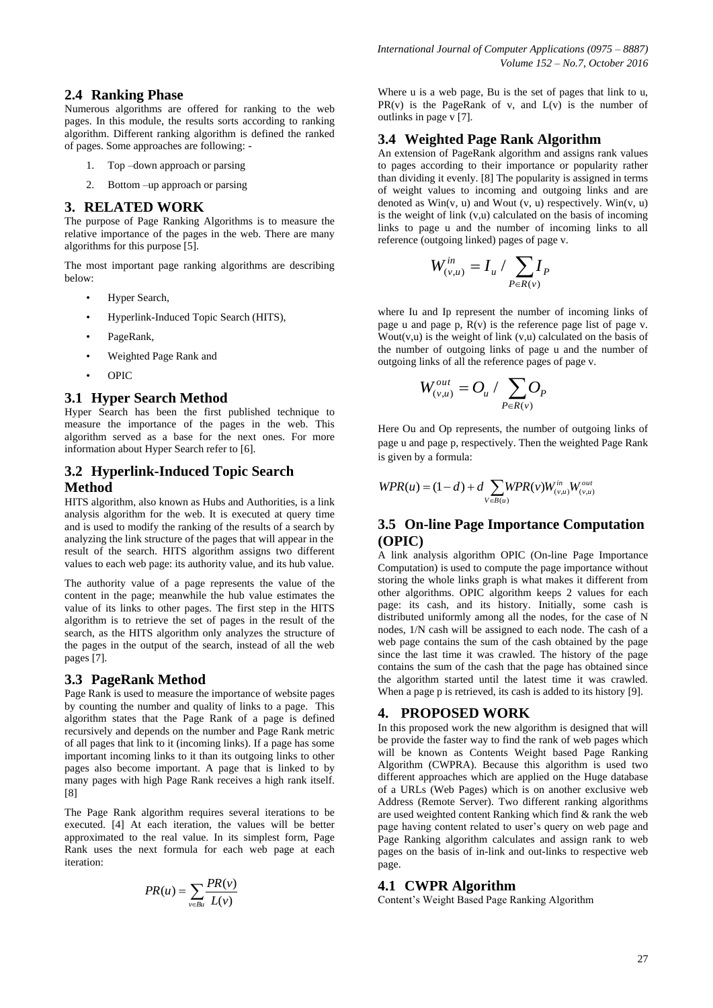# **2.4 Ranking Phase**

Numerous algorithms are offered for ranking to the web pages. In this module, the results sorts according to ranking algorithm. Different ranking algorithm is defined the ranked of pages. Some approaches are following: -

- 1. Top –down approach or parsing
- 2. Bottom –up approach or parsing

#### **3. RELATED WORK**

The purpose of Page Ranking Algorithms is to measure the relative importance of the pages in the web. There are many algorithms for this purpose [5].

The most important page ranking algorithms are describing below:

- Hyper Search,
- Hyperlink-Induced Topic Search (HITS),
- PageRank.
- Weighted Page Rank and
- OPIC

#### **3.1 Hyper Search Method**

Hyper Search has been the first published technique to measure the importance of the pages in the web. This algorithm served as a base for the next ones. For more information about Hyper Search refer to [6].

# **3.2 Hyperlink-Induced Topic Search Method**

HITS algorithm, also known as Hubs and Authorities, is a link analysis algorithm for the web. It is executed at query time and is used to modify the ranking of the results of a search by analyzing the link structure of the pages that will appear in the result of the search. HITS algorithm assigns two different values to each web page: its authority value, and its hub value.

The authority value of a page represents the value of the content in the page; meanwhile the hub value estimates the value of its links to other pages. The first step in the HITS algorithm is to retrieve the set of pages in the result of the search, as the HITS algorithm only analyzes the structure of the pages in the output of the search, instead of all the web pages [7].

# **3.3 PageRank Method**

Page Rank is used to measure the importance of website pages by counting the number and quality of links to a page. This algorithm states that the Page Rank of a page is defined recursively and depends on the number and Page Rank metric of all pages that link to it (incoming links). If a page has some important incoming links to it than its outgoing links to other pages also become important. A page that is linked to by many pages with high Page Rank receives a high rank itself. [8]

The Page Rank algorithm requires several iterations to be executed. [4] At each iteration, the values will be better approximated to the real value. In its simplest form, Page Rank uses the next formula for each web page at each iteration:

$$
PR(u) = \sum_{v \in Bu} \frac{PR(v)}{L(v)}
$$

Where u is a web page, Bu is the set of pages that link to u,  $PR(v)$  is the PageRank of v, and  $L(v)$  is the number of outlinks in page v [7].

## **3.4 Weighted Page Rank Algorithm**

An extension of PageRank algorithm and assigns rank values to pages according to their importance or popularity rather than dividing it evenly. [8] The popularity is assigned in terms of weight values to incoming and outgoing links and are denoted as  $Win(v, u)$  and Wout  $(v, u)$  respectively.  $Win(v, u)$ is the weight of link  $(v, u)$  calculated on the basis of incoming links to page u and the number of incoming links to all reference (outgoing linked) pages of page v.

$$
W_{(v,u)}^{in}=I_u / \sum_{P\in R(v)}I_P
$$

where Iu and Ip represent the number of incoming links of page u and page p,  $R(v)$  is the reference page list of page v. Wout(v,u) is the weight of link  $(v, u)$  calculated on the basis of the number of outgoing links of page u and the number of outgoing links of all the reference pages of page v.

$$
W_{(v,u)}^{out} = O_u / \sum_{P \in R(v)} O_P
$$

Here Ou and Op represents, the number of outgoing links of page u and page p, respectively. Then the weighted Page Rank is given by a formula:

$$
WPR(u) = (1 - d) + d \sum_{V \in B(u)} WPR(v) W_{(v,u)}^{in} W_{(v,u)}^{out}
$$

## **3.5 On-line Page Importance Computation (OPIC)**

A link analysis algorithm OPIC (On-line Page Importance Computation) is used to compute the page importance without storing the whole links graph is what makes it different from other algorithms. OPIC algorithm keeps 2 values for each page: its cash, and its history. Initially, some cash is distributed uniformly among all the nodes, for the case of N nodes, 1/N cash will be assigned to each node. The cash of a web page contains the sum of the cash obtained by the page since the last time it was crawled. The history of the page contains the sum of the cash that the page has obtained since the algorithm started until the latest time it was crawled. When a page p is retrieved, its cash is added to its history [9].

## **4. PROPOSED WORK**

In this proposed work the new algorithm is designed that will be provide the faster way to find the rank of web pages which will be known as Contents Weight based Page Ranking Algorithm (CWPRA). Because this algorithm is used two different approaches which are applied on the Huge database of a URLs (Web Pages) which is on another exclusive web Address (Remote Server). Two different ranking algorithms are used weighted content Ranking which find & rank the web page having content related to user"s query on web page and Page Ranking algorithm calculates and assign rank to web pages on the basis of in-link and out-links to respective web page.

#### **4.1 CWPR Algorithm**

Content"s Weight Based Page Ranking Algorithm